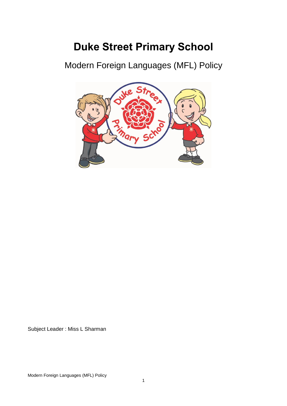# **Duke Street Primary School**

Modern Foreign Languages (MFL) Policy



Subject Leader : Miss L Sharman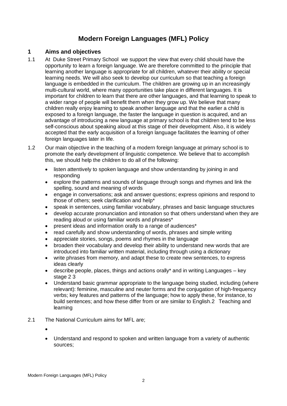# **Modern Foreign Languages (MFL) Policy**

# **1 Aims and objectives**

- 1.1 At Duke Street Primary School we support the view that every child should have the opportunity to learn a foreign language. We are therefore committed to the principle that learning another language is appropriate for all children, whatever their ability or special learning needs. We will also seek to develop our curriculum so that teaching a foreign language is embedded in the curriculum. The children are growing up in an increasingly multi-cultural world, where many opportunities take place in different languages. It is important for children to learn that there are other languages, and that learning to speak to a wider range of people will benefit them when they grow up. We believe that many children really enjoy learning to speak another language and that the earlier a child is exposed to a foreign language, the faster the language in question is acquired, and an advantage of introducing a new language at primary school is that children tend to be less self-conscious about speaking aloud at this stage of their development. Also, it is widely accepted that the early acquisition of a foreign language facilitates the learning of other foreign languages later in life.
- 1.2 Our main objective in the teaching of a modern foreign language at primary school is to promote the early development of linguistic competence. We believe that to accomplish this, we should help the children to do all of the following:
	- listen attentively to spoken language and show understanding by joining in and responding
	- explore the patterns and sounds of language through songs and rhymes and link the spelling, sound and meaning of words
	- engage in conversations; ask and answer questions; express opinions and respond to those of others; seek clarification and help\*
	- speak in sentences, using familiar vocabulary, phrases and basic language structures
	- develop accurate pronunciation and intonation so that others understand when they are reading aloud or using familiar words and phrases\*
	- present ideas and information orally to a range of audiences\*
	- read carefully and show understanding of words, phrases and simple writing
	- appreciate stories, songs, poems and rhymes in the language
	- broaden their vocabulary and develop their ability to understand new words that are introduced into familiar written material, including through using a dictionary
	- write phrases from memory, and adapt these to create new sentences, to express ideas clearly
	- describe people, places, things and actions orally\* and in writing Languages key stage 2 3
	- Understand basic grammar appropriate to the language being studied, including (where relevant): feminine, masculine and neuter forms and the conjugation of high-frequency verbs; key features and patterns of the language; how to apply these, for instance, to build sentences; and how these differ from or are similar to English.2 Teaching and learning
- 2.1 The National Curriculum aims for MFL are;
	- •
	- Understand and respond to spoken and written language from a variety of authentic sources;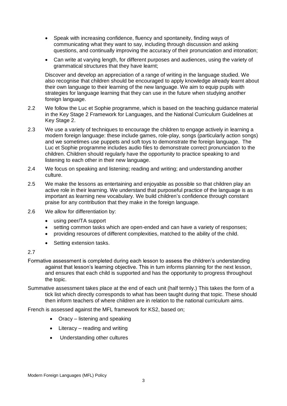- Speak with increasing confidence, fluency and spontaneity, finding ways of communicating what they want to say, including through discussion and asking questions, and continually improving the accuracy of their pronunciation and intonation;
- Can write at varying length, for different purposes and audiences, using the variety of grammatical structures that they have learnt;

Discover and develop an appreciation of a range of writing in the language studied. We also recognise that children should be encouraged to apply knowledge already learnt about their own language to their learning of the new language. We aim to equip pupils with strategies for language learning that they can use in the future when studying another foreign language.

- 2.2 We follow the Luc et Sophie programme, which is based on the teaching guidance material in the Key Stage 2 Framework for Languages, and the National Curriculum Guidelines at Key Stage 2.
- 2.3 We use a variety of techniques to encourage the children to engage actively in learning a modern foreign language: these include games, role-play, songs (particularly action songs) and we sometimes use puppets and soft toys to demonstrate the foreign language. The Luc et Sophie programme includes audio files to demonstrate correct pronunciation to the children. Children should regularly have the opportunity to practice speaking to and listening to each other in their new language.
- 2.4 We focus on speaking and listening; reading and writing; and understanding another culture.
- 2.5 We make the lessons as entertaining and enjoyable as possible so that children play an active role in their learning. We understand that purposeful practice of the language is as important as learning new vocabulary. We build children's confidence through constant praise for any contribution that they make in the foreign language.
- 2.6 We allow for differentiation by:
	- using peer/TA support
	- setting common tasks which are open-ended and can have a variety of responses;
	- providing resources of different complexities, matched to the ability of the child.
	- Setting extension tasks.

#### 2.7

- Formative assessment is completed during each lesson to assess the children's understanding against that lesson's learning objective. This in turn informs planning for the next lesson, and ensures that each child is supported and has the opportunity to progress throughout the topic.
- Summative assessment takes place at the end of each unit (half termly.) This takes the form of a tick list which directly corresponds to what has been taught during that topic. These should then inform teachers of where children are in relation to the national curriculum aims.

French is assessed against the MFL framework for KS2, based on;

- Oracy listening and speaking
- Literacy reading and writing
- Understanding other cultures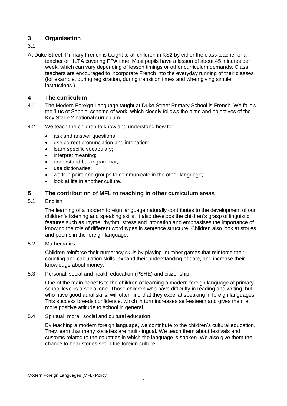# **3 Organisation**

- 3.1
- At Duke Street, Primary French is taught to all children in KS2 by either the class teacher or a teacher or HLTA covering PPA time. Most pupils have a lesson of about 45 minutes per week, which can vary depending of lesson timings or other curriculum demands. Class teachers are encouraged to incorporate French into the everyday running of their classes (for example, during registration, during transition times and when giving simple instructions.)

# **4 The curriculum**

- 4.1 The Modern Foreign Language taught at Duke Street Primary School is French. We follow the 'Luc et Sophie' scheme of work, which closely follows the aims and objectives of the Key Stage 2 national curriculum.
- 4.2 We teach the children to know and understand how to:
	- ask and answer questions;
	- use correct pronunciation and intonation;
	- learn specific vocabulary;
	- interpret meaning;
	- understand basic grammar;
	- use dictionaries:
	- work in pairs and groups to communicate in the other language;
	- look at life in another culture.

# **5 The contribution of MFL to teaching in other curriculum areas**

5.1 English

The learning of a modern foreign language naturally contributes to the development of our children's listening and speaking skills. It also develops the children's grasp of linguistic features such as rhyme, rhythm, stress and intonation and emphasises the importance of knowing the role of different word types in sentence structure. Children also look at stories and poems in the foreign language.

5.2 Mathematics

Children reinforce their numeracy skills by playing number games that reinforce their counting and calculation skills, expand their understanding of date, and increase their knowledge about money.

#### 5.3 Personal, social and health education (PSHE) and citizenship

One of the main benefits to the children of learning a modern foreign language at primary school level is a social one. Those children who have difficulty in reading and writing, but who have good aural skills, will often find that they excel at speaking in foreign languages. This success breeds confidence, which in turn increases self-esteem and gives them a more positive attitude to school in general.

#### 5.4 Spiritual, moral, social and cultural education

By teaching a modern foreign language, we contribute to the children's cultural education. They learn that many societies are multi-lingual. We teach them about festivals and customs related to the countries in which the language is spoken. We also give them the chance to hear stories set in the foreign culture.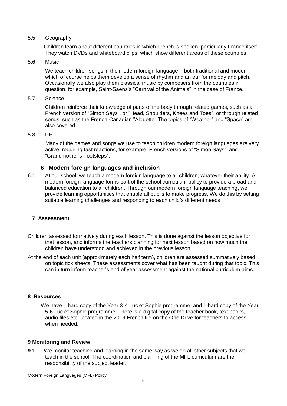#### 5.5 Geography

 Children learn about different countries in which French is spoken, particularly France itself. They watch DVDs and whiteboard clips which show different areas of these countries.

#### 5.6 Music

We teach children songs in the modern foreign language – both traditional and modern – which of course helps them develop a sense of rhythm and an ear for melody and pitch. Occasionally we also play them classical music by composers from the countries in question, for example, Saint-Saëns's "Carnival of the Animals" in the case of France.

5.7 Science

Children reinforce their knowledge of parts of the body through related games, such as a French version of "Simon Says", or "Head, Shoulders, Knees and Toes", or through related songs, such as the French-Canadian "Alouette".The topics of "Weather" and "Space" are also covered.

#### 5.8 PE

 . Many of the games and songs we use to teach children modern foreign languages are very active requiring fast reactions, for example, French versions of "Simon Says". and "Grandmother's Footsteps".

#### **6 Modern foreign languages and inclusion**

6.1 At our school, we teach a modern foreign language to all children, whatever their ability. A modern foreign language forms part of the school curriculum policy to provide a broad and balanced education to all children. Through our modern foreign language teaching, we provide learning opportunities that enable all pupils to make progress. We do this by setting suitable learning challenges and responding to each child's different needs.

#### **7 Assessment**.

- Children assessed formatively during each lesson. This is done against the lesson objective for that lesson, and informs the teachers planning for next lesson based on how much the children have understood and achieved in the previous lesson.
- At the end of each unit (approximately each half term), children are assessed summatively based on topic tick sheets. These assessments cover what has been taught during that topic. This can in turn inform teacher's end of year assessment against the national curriculum aims.

#### **8 Resources**

We have 1 hard copy of the Year 3-4 Luc et Sophie programme, and 1 hard copy of the Year 5-6 Luc et Sophie programme. There is a digital copy of the teacher book, text books, audio files etc. located in the 2019 French file on the One Drive for teachers to access when needed.

#### **9 Monitoring and Review**

**9.1** We monitor teaching and learning in the same way as we do all other subjects that we teach in the school. The coordination and planning of the MFL curriculum are the responsibility of the subject leader.

Modern Foreign Languages (MFL) Policy